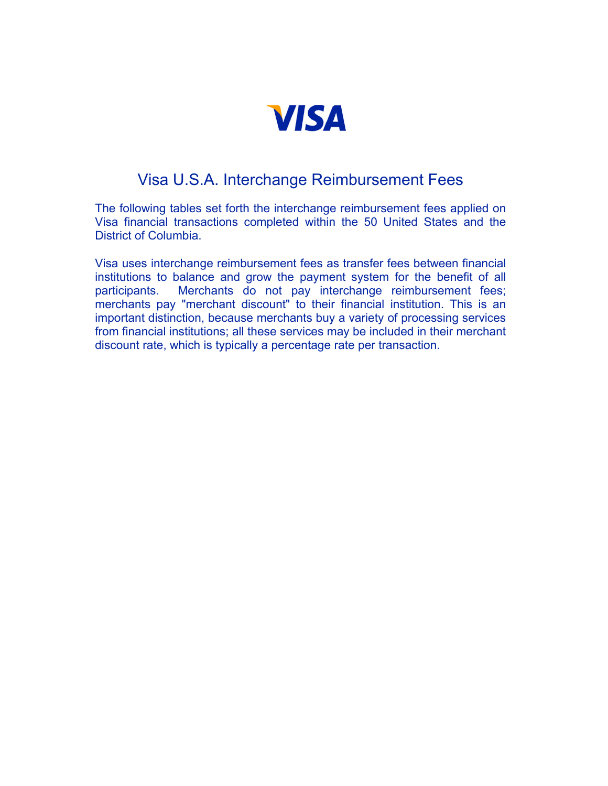

### Visa U.S.A. Interchange Reimbursement Fees

The following tables set forth the interchange reimbursement fees applied on Visa financial transactions completed within the 50 United States and the District of Columbia.

Visa uses interchange reimbursement fees as transfer fees between financial institutions to balance and grow the payment system for the benefit of all participants. Merchants do not pay interchange reimbursement fees; merchants pay "merchant discount" to their financial institution. This is an important distinction, because merchants buy a variety of processing services from financial institutions; all these services may be included in their merchant discount rate, which is typically a percentage rate per transaction.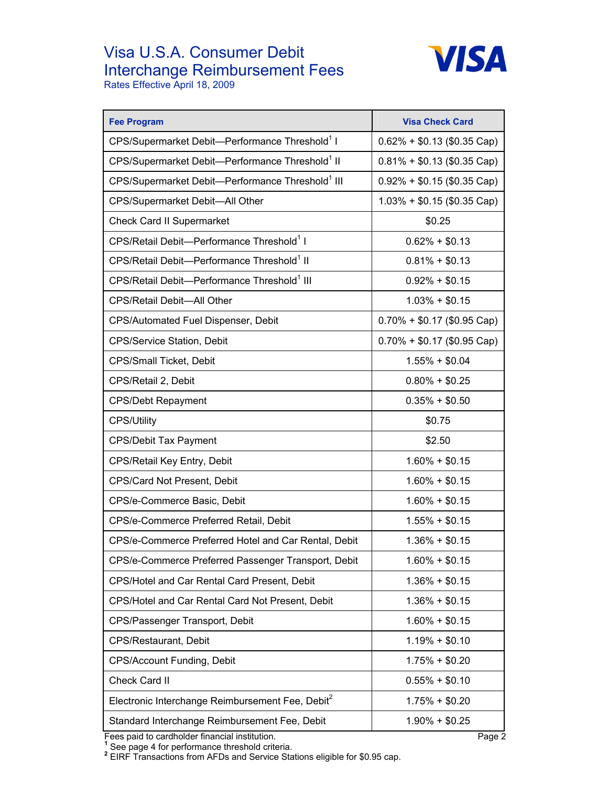# Visa U.S.A. Consumer Debit Interchange Reimbursement Fees



Rates Effective April 18, 2009

| <b>Fee Program</b>                                           | <b>Visa Check Card</b>        |
|--------------------------------------------------------------|-------------------------------|
| CPS/Supermarket Debit-Performance Threshold <sup>1</sup> I   | $0.62\% + $0.13$ (\$0.35 Cap) |
| CPS/Supermarket Debit-Performance Threshold <sup>1</sup> II  | $0.81\% + $0.13$ (\$0.35 Cap) |
| CPS/Supermarket Debit-Performance Threshold <sup>1</sup> III | $0.92\% + $0.15$ (\$0.35 Cap) |
| CPS/Supermarket Debit-All Other                              | $1.03\% + $0.15$ (\$0.35 Cap) |
| <b>Check Card II Supermarket</b>                             | \$0.25                        |
| CPS/Retail Debit-Performance Threshold <sup>1</sup> I        | $0.62\% + $0.13$              |
| CPS/Retail Debit-Performance Threshold <sup>1</sup> II       | $0.81\% + $0.13$              |
| CPS/Retail Debit-Performance Threshold <sup>1</sup> III      | $0.92\% + $0.15$              |
| CPS/Retail Debit-All Other                                   | $1.03\% + $0.15$              |
| CPS/Automated Fuel Dispenser, Debit                          | $0.70\% + $0.17$ (\$0.95 Cap) |
| <b>CPS/Service Station, Debit</b>                            | $0.70\% + $0.17$ (\$0.95 Cap) |
| CPS/Small Ticket, Debit                                      | $1.55\% + $0.04$              |
| CPS/Retail 2, Debit                                          | $0.80\% + $0.25$              |
| <b>CPS/Debt Repayment</b>                                    | $0.35\% + $0.50$              |
| <b>CPS/Utility</b>                                           | \$0.75                        |
| <b>CPS/Debit Tax Payment</b>                                 | \$2.50                        |
| CPS/Retail Key Entry, Debit                                  | $1.60\% + $0.15$              |
| CPS/Card Not Present, Debit                                  | $1.60\% + $0.15$              |
| CPS/e-Commerce Basic, Debit                                  | $1.60\% + $0.15$              |
| CPS/e-Commerce Preferred Retail, Debit                       | $1.55\% + $0.15$              |
| CPS/e-Commerce Preferred Hotel and Car Rental, Debit         | $1.36\% + $0.15$              |
| CPS/e-Commerce Preferred Passenger Transport, Debit          | $1.60\% + $0.15$              |
| CPS/Hotel and Car Rental Card Present, Debit                 | $1.36\% + $0.15$              |
| CPS/Hotel and Car Rental Card Not Present, Debit             | $1.36\% + $0.15$              |
| CPS/Passenger Transport, Debit                               | $1.60\% + $0.15$              |
| CPS/Restaurant, Debit                                        | $1.19% + $0.10$               |
| <b>CPS/Account Funding, Debit</b>                            | $1.75\% + $0.20$              |
| Check Card II                                                | $0.55\% + $0.10$              |
| Electronic Interchange Reimbursement Fee, Debit <sup>2</sup> | $1.75\% + $0.20$              |
| Standard Interchange Reimbursement Fee, Debit                | $1.90\% + $0.25$              |

Fees paid to cardholder financial institution.<br><sup>1</sup> See page 4 for performance threshold criteria.<br><sup>2</sup> EIRF Transactions from AFDs and Service Stations eligible for \$0.95 cap.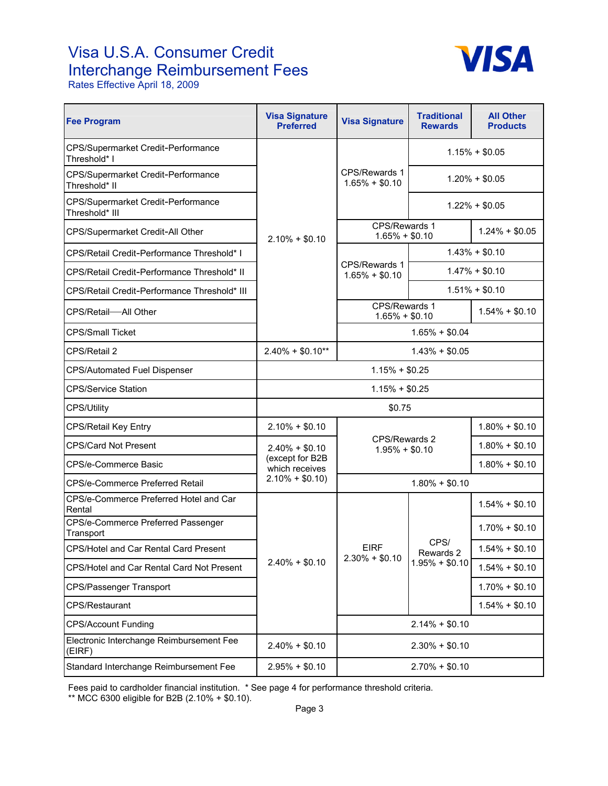## Visa U.S.A. Consumer Credit Interchange Reimbursement Fees



Rates Effective April 18, 2009

| <b>Fee Program</b>                                        | <b>Visa Signature</b><br><b>Preferred</b> | <b>Visa Signature</b>             | <b>Traditional</b><br><b>Rewards</b>  | <b>All Other</b><br><b>Products</b> |
|-----------------------------------------------------------|-------------------------------------------|-----------------------------------|---------------------------------------|-------------------------------------|
| <b>CPS/Supermarket Credit-Performance</b><br>Threshold* I |                                           |                                   |                                       | $1.15% + $0.05$                     |
| CPS/Supermarket Credit-Performance<br>Threshold* II       |                                           | CPS/Rewards 1<br>$1.65\% + $0.10$ | $1.20\% + $0.05$                      |                                     |
| CPS/Supermarket Credit-Performance<br>Threshold* III      |                                           |                                   | $1.22\% + $0.05$                      |                                     |
| CPS/Supermarket Credit-All Other                          | $2.10\% + $0.10$                          | CPS/Rewards 1<br>$1.65\% + $0.10$ |                                       | $1.24\% + $0.05$                    |
| CPS/Retail Credit-Performance Threshold* I                |                                           | $1.43\% + $0.10$                  |                                       |                                     |
| CPS/Retail Credit-Performance Threshold* II               |                                           | CPS/Rewards 1<br>$1.65\% + $0.10$ | $1.47\% + $0.10$                      |                                     |
| CPS/Retail Credit-Performance Threshold* III              |                                           |                                   |                                       | $1.51\% + $0.10$                    |
| CPS/Retail-All Other                                      |                                           |                                   | CPS/Rewards 1<br>$1.65\% + $0.10$     |                                     |
| <b>CPS/Small Ticket</b>                                   |                                           |                                   | $1.65\% + $0.04$                      |                                     |
| CPS/Retail 2                                              | $2.40\% + $0.10**$                        | $1.43% + $0.05$                   |                                       |                                     |
| <b>CPS/Automated Fuel Dispenser</b>                       | $1.15% + $0.25$                           |                                   |                                       |                                     |
| <b>CPS/Service Station</b>                                |                                           | $1.15% + $0.25$                   |                                       |                                     |
| <b>CPS/Utility</b>                                        |                                           | \$0.75                            |                                       |                                     |
| <b>CPS/Retail Key Entry</b>                               | $2.10\% + $0.10$                          |                                   |                                       | $1.80\% + $0.10$                    |
| <b>CPS/Card Not Present</b>                               | $2.40\% + $0.10$                          | CPS/Rewards 2<br>$1.95\% + $0.10$ |                                       | $1.80\% + $0.10$                    |
| CPS/e-Commerce Basic                                      | (except for B2B<br>which receives         |                                   |                                       | $1.80\% + $0.10$                    |
| CPS/e-Commerce Preferred Retail                           | $2.10\% + $0.10$                          | $1.80\% + $0.10$                  |                                       |                                     |
| CPS/e-Commerce Preferred Hotel and Car<br>Rental          |                                           |                                   |                                       | $1.54\% + $0.10$                    |
| CPS/e-Commerce Preferred Passenger<br>Transport           |                                           |                                   | CPS/<br>Rewards 2<br>$1.95\% + $0.10$ | $1.70\% + $0.10$                    |
| CPS/Hotel and Car Rental Card Present                     |                                           | <b>EIRF</b><br>$2.30\% + $0.10$   |                                       | $1.54\% + $0.10$                    |
| CPS/Hotel and Car Rental Card Not Present                 | $2.40\% + $0.10$                          |                                   |                                       | $1.54\% + $0.10$                    |
| <b>CPS/Passenger Transport</b>                            |                                           |                                   |                                       | $1.70\% + $0.10$                    |
| <b>CPS/Restaurant</b>                                     |                                           |                                   |                                       | $1.54\% + $0.10$                    |
| <b>CPS/Account Funding</b>                                |                                           |                                   | $2.14\% + $0.10$                      |                                     |
| Electronic Interchange Reimbursement Fee<br>(EIRF)        | $2.40\% + $0.10$                          | $2.30\% + $0.10$                  |                                       |                                     |
| Standard Interchange Reimbursement Fee                    | $2.95\% + $0.10$                          |                                   | $2.70\% + $0.10$                      |                                     |

Fees paid to cardholder financial institution. \* See page 4 for performance threshold criteria.

\*\* MCC 6300 eligible for B2B (2.10% + \$0.10).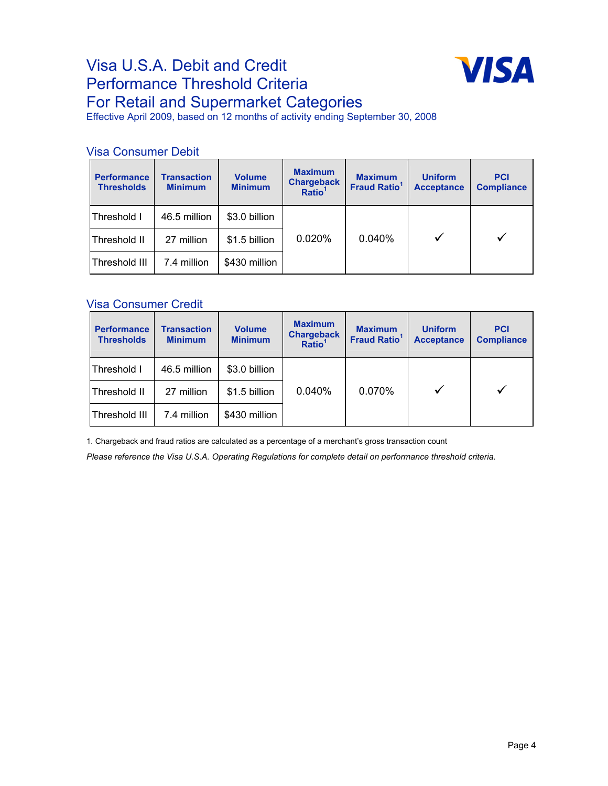### Visa U.S.A. Debit and Credit Performance Threshold Criteria For Retail and Supermarket Categories



Effective April 2009, based on 12 months of activity ending September 30, 2008

#### Visa Consumer Debit

| <b>Performance</b><br><b>Thresholds</b> | <b>Transaction</b><br><b>Minimum</b> | <b>Volume</b><br><b>Minimum</b> | <b>Maximum</b><br><b>Chargeback</b><br>Ratio <sup>1</sup> | <b>Maximum</b><br><b>Fraud Ratio<sup>1</sup></b> | <b>Uniform</b><br><b>Acceptance</b> | <b>PCI</b><br><b>Compliance</b> |
|-----------------------------------------|--------------------------------------|---------------------------------|-----------------------------------------------------------|--------------------------------------------------|-------------------------------------|---------------------------------|
| Threshold I                             | 46.5 million                         | \$3.0 billion                   |                                                           |                                                  |                                     |                                 |
| Threshold II                            | 27 million                           | \$1.5 billion                   | 0.020%                                                    | 0.040%                                           |                                     |                                 |
| Threshold III                           | 7.4 million                          | \$430 million                   |                                                           |                                                  |                                     |                                 |

#### Visa Consumer Credit

| <b>Performance</b><br><b>Thresholds</b> | <b>Transaction</b><br><b>Minimum</b> | <b>Volume</b><br><b>Minimum</b> | <b>Maximum</b><br><b>Chargeback</b><br>Ratio <sup>1</sup> | <b>Maximum</b><br><b>Fraud Ratio<sup>1</sup></b> | <b>Uniform</b><br><b>Acceptance</b> | <b>PCI</b><br><b>Compliance</b> |
|-----------------------------------------|--------------------------------------|---------------------------------|-----------------------------------------------------------|--------------------------------------------------|-------------------------------------|---------------------------------|
| Threshold I                             | 46.5 million                         | \$3.0 billion                   |                                                           |                                                  |                                     |                                 |
| Threshold II                            | 27 million                           | \$1.5 billion                   | 0.040%                                                    | 0.070%                                           |                                     |                                 |
| Threshold III                           | 7.4 million                          | \$430 million                   |                                                           |                                                  |                                     |                                 |

1. Chargeback and fraud ratios are calculated as a percentage of a merchant's gross transaction count

*Please reference the Visa U.S.A. Operating Regulations for complete detail on performance threshold criteria.*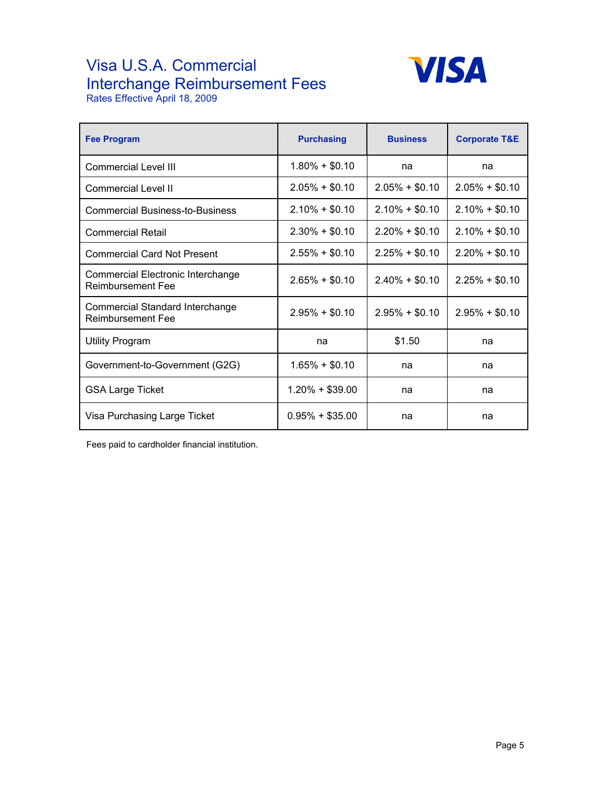## Visa U.S.A. Commercial Interchange Reimbursement Fees



Rates Effective April 18, 2009

| <b>Fee Program</b>                                     | <b>Purchasing</b> | <b>Business</b>  | <b>Corporate T&amp;E</b> |
|--------------------------------------------------------|-------------------|------------------|--------------------------|
| Commercial Level III                                   | $1.80\% + $0.10$  | na               | na                       |
| Commercial Level II                                    | $2.05\% + $0.10$  | $2.05\% + $0.10$ | $2.05\% + $0.10$         |
| <b>Commercial Business-to-Business</b>                 | $2.10\% + $0.10$  | $2.10\% + $0.10$ | $2.10\% + $0.10$         |
| <b>Commercial Retail</b>                               | $2.30\% + $0.10$  | $2.20\% + $0.10$ | $2.10\% + $0.10$         |
| <b>Commercial Card Not Present</b>                     | $2.55\% + $0.10$  | $2.25\% + $0.10$ | $2.20\% + $0.10$         |
| Commercial Electronic Interchange<br>Reimbursement Fee | $2.65\% + $0.10$  | $2.40\% + $0.10$ | $2.25\% + $0.10$         |
| Commercial Standard Interchange<br>Reimbursement Fee   | $2.95\% + $0.10$  | $2.95\% + $0.10$ | $2.95\% + $0.10$         |
| Utility Program                                        | na                | \$1.50           | na                       |
| Government-to-Government (G2G)                         | $1.65\% + $0.10$  | na               | na                       |
| <b>GSA Large Ticket</b>                                | $1.20\% + $39.00$ | na               | na                       |
| Visa Purchasing Large Ticket                           | $0.95\% + $35.00$ | na               | na                       |

Fees paid to cardholder financial institution.